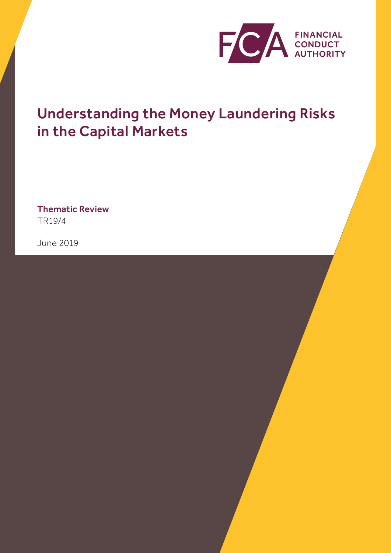

# Understanding the Money Laundering Risks in the Capital Markets

Thematic Review TR19/4

June 2019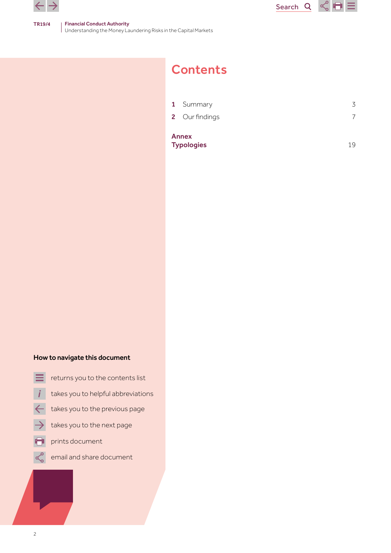



| <b>Annex</b><br><b>Typologies</b> | 19 |
|-----------------------------------|----|
| 2 Our findings                    |    |
| 1 Summary                         | 3  |
|                                   |    |

Search<sub>Q</sub>

 $\leq$   $\blacksquare$ 

# How to navigate this document

- returns you to the contents list
- takes you to helpful abbreviations
- takes you to the previous page  $\leftarrow$
- takes you to the next page
- prints document
- email and share document $\propto$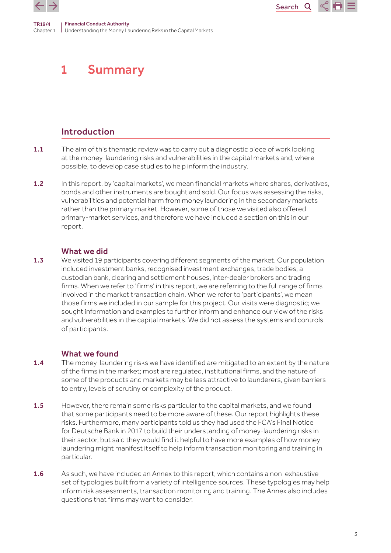<span id="page-2-0"></span>

# 1 Summary

# Introduction

1.1 The aim of this thematic review was to carry out a diagnostic piece of work looking at the money-laundering risks and vulnerabilities in the capital markets and, where possible, to develop case studies to help inform the industry.

**Search** 

 $\mathbf Q$ 

1.2 In this report, by 'capital markets', we mean financial markets where shares, derivatives, bonds and other instruments are bought and sold. Our focus was assessing the risks, vulnerabilities and potential harm from money laundering in the secondary markets rather than the primary market. However, some of those we visited also offered primary-market services, and therefore we have included a section on this in our report.

# What we did

**1.3** We visited 19 participants covering different segments of the market. Our population included investment banks, recognised investment exchanges, trade bodies, a custodian bank, clearing and settlement houses, inter-dealer brokers and trading firms. When we refer to 'firms' in this report, we are referring to the full range of firms involved in the market transaction chain. When we refer to 'participants', we mean those firms we included in our sample for this project. Our visits were diagnostic; we sought information and examples to further inform and enhance our view of the risks and vulnerabilities in the capital markets. We did not assess the systems and controls of participants.

# What we found

- 1.4 The money-laundering risks we have identified are mitigated to an extent by the nature of the firms in the market; most are regulated, institutional firms, and the nature of some of the products and markets may be less attractive to launderers, given barriers to entry, levels of scrutiny or complexity of the product.
- 1.5 However, there remain some risks particular to the capital markets, and we found that some participants need to be more aware of these. Our report highlights these risks. Furthermore, many participants told us they had used the FCA's [Final Notice](https://www.fca.org.uk/publication/final-notices/deutsche-bank-2017.pdf) for Deutsche Bank in 2017 to build their understanding of money-laundering risks in their sector, but said they would find it helpful to have more examples of how money laundering might manifest itself to help inform transaction monitoring and training in particular.
- 1.6 As such, we have included an Annex to this report, which contains a non-exhaustive set of typologies built from a variety of intelligence sources. These typologies may help inform risk assessments, transaction monitoring and training. The Annex also includes questions that firms may want to consider.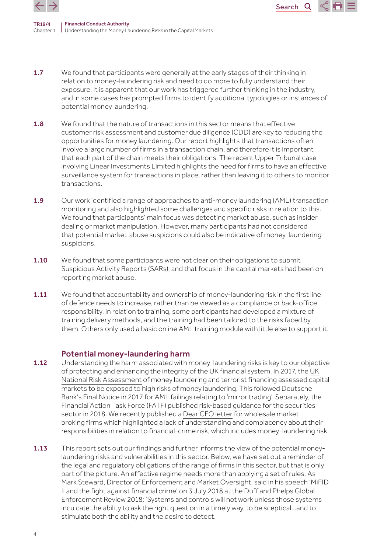

TR19/4 Chapter 1 Understanding the Money Laundering Risks in the Capital Markets Financial Conduct Authority

1.7 We found that participants were generally at the early stages of their thinking in relation to money-laundering risk and need to do more to fully understand their exposure. It is apparent that our work has triggered further thinking in the industry, and in some cases has prompted firms to identify additional typologies or instances of potential money laundering.

Search<sub>Q</sub>

- 1.8 We found that the nature of transactions in this sector means that effective customer risk assessment and customer due diligence (CDD) are key to reducing the opportunities for money laundering. Our report highlights that transactions often involve a large number of firms in a transaction chain, and therefore it is important that each part of the chain meets their obligations. The recent Upper Tribunal case involving [Linear Investments Limited](https://assets.publishing.service.gov.uk/media/5cac6ef3e5274a42a5619fcf/Linear__Investements_Ltd_v_FCA.pdf) highlights the need for firms to have an effective surveillance system for transactions in place, rather than leaving it to others to monitor transactions.
- 1.9 Our work identified a range of approaches to anti-money laundering (AML) transaction monitoring and also highlighted some challenges and specific risks in relation to this. We found that participants' main focus was detecting market abuse, such as insider dealing or market manipulation. However, many participants had not considered that potential market-abuse suspicions could also be indicative of money-laundering suspicions.
- **1.10** We found that some participants were not clear on their obligations to submit Suspicious Activity Reports (SARs), and that focus in the capital markets had been on reporting market abuse.
- 1.11 We found that accountability and ownership of money-laundering risk in the first line of defence needs to increase, rather than be viewed as a compliance or back-office responsibility. In relation to training, some participants had developed a mixture of training delivery methods, and the training had been tailored to the risks faced by them. Others only used a basic online AML training module with little else to support it.

### Potential money-laundering harm

- 1.12 Understanding the harm associated with money-laundering risks is key to our objective of protecting and enhancing the integrity of the UK financial system. In 2017, the [UK](https://assets.publishing.service.gov.uk/government/uploads/system/uploads/attachment_data/file/655198/National_risk_assessment_of_money_laundering_and_terrorist_financing_2017_pdf_web.pdf)  [National Risk Assessment](https://assets.publishing.service.gov.uk/government/uploads/system/uploads/attachment_data/file/655198/National_risk_assessment_of_money_laundering_and_terrorist_financing_2017_pdf_web.pdf) of money laundering and terrorist financing assessed capital markets to be exposed to high risks of money laundering. This followed Deutsche Bank's Final Notice in 2017 for AML failings relating to 'mirror trading'. Separately, the Financial Action Task Force (FATF) published [risk-based guidance](http://www.fatf-gafi.org/media/fatf/documents/recommendations/pdfs/RBA-Securities-Sector.pdf) for the securities sector in 2018. We recently published a [Dear CEO letter](https://www.fca.org.uk/publication/correspondence/dear-ceo-letter-wholesale-market-broking-firms.pdf) for wholesale market broking firms which highlighted a lack of understanding and complacency about their responsibilities in relation to financial-crime risk, which includes money-laundering risk.
- 1.13 This report sets out our findings and further informs the view of the potential moneylaundering risks and vulnerabilities in this sector. Below, we have set out a reminder of the legal and regulatory obligations of the range of firms in this sector, but that is only part of the picture. An effective regime needs more than applying a set of rules. As Mark Steward, Director of Enforcement and Market Oversight, said in his [speech](https://www.fca.org.uk/news/speeches/mifid-ii-and-fight-against-financial-crime) 'MiFID II and the fight against financial crime' on 3 July 2018 at the Duff and Phelps Global Enforcement Review 2018: 'Systems and controls will not work unless those systems inculcate the ability to ask the right question in a timely way, to be sceptical…and to stimulate both the ability and the desire to detect.'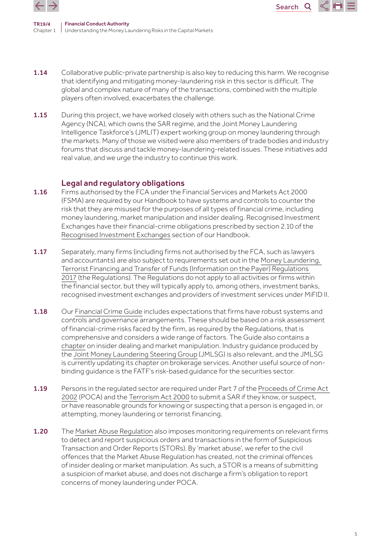

TR19/4 Chapter 1 Understanding the Money Laundering Risks in the Capital Markets Financial Conduct Authority

1.14 Collaborative public-private partnership is also key to reducing this harm. We recognise that identifying and mitigating money-laundering risk in this sector is difficult. The global and complex nature of many of the transactions, combined with the multiple players often involved, exacerbates the challenge.

Search<sub>Q</sub>

1.15 During this project, we have worked closely with others such as the National Crime Agency (NCA), which owns the SAR regime, and the Joint Money Laundering Intelligence Taskforce's (JMLIT) expert working group on money laundering through the markets. Many of those we visited were also members of trade bodies and industry forums that discuss and tackle money-laundering-related issues. These initiatives add real value, and we urge the industry to continue this work.

## Legal and regulatory obligations

- 1.16 Firms authorised by the FCA under the Financial Services and Markets Act 2000 (FSMA) are required by our Handbook to have systems and controls to counter the risk that they are misused for the purposes of all types of financial crime, including money laundering, market manipulation and insider dealing. Recognised Investment Exchanges have their financial-crime obligations prescribed by section 2.10 of the [Recognised Investment Exchanges](https://www.handbook.fca.org.uk/handbook/REC.pdf) section of our Handbook.
- 1.17 Separately, many firms (including firms not authorised by the FCA, such as lawyers and accountants) are also subject to requirements set out in the [Money Laundering,](http://www.legislation.gov.uk/uksi/2017/692/made)  [Terrorist Financing and Transfer of Funds \(Information on the Payer\) Regulations](http://www.legislation.gov.uk/uksi/2017/692/made)  [2017](http://www.legislation.gov.uk/uksi/2017/692/made) (the Regulations). The Regulations do not apply to all activities or firms within the financial sector, but they will typically apply to, among others, investment banks, recognised investment exchanges and providers of investment services under MiFID II.
- **1.18** Our [Financial Crime Guide](https://www.handbook.fca.org.uk/handbook/FCG/1/?view=chapter) includes expectations that firms have robust systems and controls and governance arrangements. These should be based on a risk assessment of financial-crime risks faced by the firm, as required by the Regulations, that is comprehensive and considers a wide range of factors. The Guide also contains a [chapter](https://www.handbook.fca.org.uk/handbook/FCG/8/?view=chapter) on insider dealing and market manipulation. Industry guidance produced by the [Joint Money Laundering Steering Group](http://www.jmlsg.org.uk/industry-guidance/article/jmlsg-guidance-current) (JMLSG) is also relevant, and the JMLSG is currently updating its chapter on brokerage services. Another useful source of nonbinding guidance is the FATF's risk-based guidance for the securities sector.
- 1.19 Persons in the regulated sector are required under Part 7 of the Proceeds of Crime Act [2002](https://www.legislation.gov.uk/ukpga/2002/29/contents) (POCA) and the [Terrorism Act 2000](https://www.legislation.gov.uk/ukpga/2000/11/contents) to submit a SAR if they know, or suspect, or have reasonable grounds for knowing or suspecting that a person is engaged in, or attempting, money laundering or terrorist financing.
- 1.20 The [Market Abuse Regulation](https://eur-lex.europa.eu/legal-content/EN/TXT/PDF/?uri=CELEX:32014R0596&from=EN) also imposes monitoring reguirements on relevant firms to detect and report suspicious orders and transactions in the form of Suspicious Transaction and Order Reports (STORs). By 'market abuse', we refer to the civil offences that the Market Abuse Regulation has created, not the criminal offences of insider dealing or market manipulation. As such, a STOR is a means of submitting a suspicion of market abuse, and does not discharge a firm's obligation to report concerns of money laundering under POCA.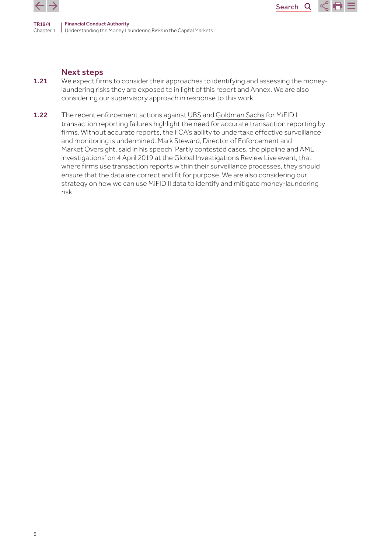

### Next steps

1.21 We expect firms to consider their approaches to identifying and assessing the moneylaundering risks they are exposed to in light of this report and Annex. We are also considering our supervisory approach in response to this work.

Search<sub>Q</sub>

1.22 The recent enforcement actions against [UBS](https://www.fca.org.uk/publication/final-notices/ubs-ag-2019.pdf) and [Goldman Sachs](https://www.fca.org.uk/publication/final-notices/goldman-sachs-international-2019.pdf) for MiFID I transaction reporting failures highlight the need for accurate transaction reporting by firms. Without accurate reports, the FCA's ability to undertake effective surveillance and monitoring is undermined. Mark Steward, Director of Enforcement and Market Oversight, said in his [speech](https://www.fca.org.uk/news/speeches/partly-contested-cases-pipeline-and-aml-investigations) 'Partly contested cases, the pipeline and AML investigations' on 4 April 2019 at the Global Investigations Review Live event, that where firms use transaction reports within their surveillance processes, they should ensure that the data are correct and fit for purpose. We are also considering our strategy on how we can use MiFID II data to identify and mitigate money-laundering risk.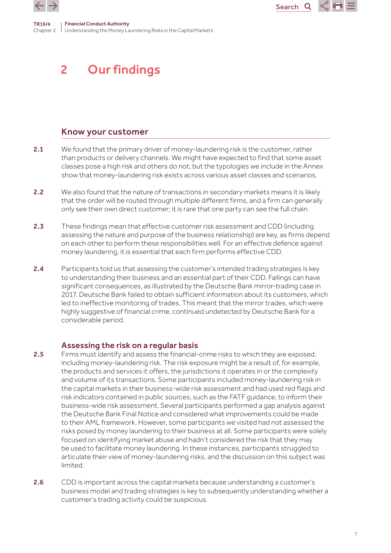<span id="page-6-0"></span>



# Know your customer

2.1 We found that the primary driver of money-laundering risk is the customer, rather than products or delivery channels. We might have expected to find that some asset classes pose a high risk and others do not, but the typologies we include in the Annex show that money-laundering risk exists across various asset classes and scenarios.

Search<sub>Q</sub>

- 2.2 We also found that the nature of transactions in secondary markets means it is likely that the order will be routed through multiple different firms, and a firm can generally only see their own direct customer; it is rare that one party can see the full chain.
- 2.3 These findings mean that effective customer risk assessment and CDD (including assessing the nature and purpose of the business relationship) are key, as firms depend on each other to perform these responsibilities well. For an effective defence against money laundering, it is essential that each firm performs effective CDD.
- 2.4 Participants told us that assessing the customer's intended trading strategies is key to understanding their business and an essential part of their CDD. Failings can have significant consequences, as illustrated by the Deutsche Bank mirror-trading case in 2017. Deutsche Bank failed to obtain sufficient information about its customers, which led to ineffective monitoring of trades. This meant that the mirror trades, which were highly suggestive of financial crime, continued undetected by Deutsche Bank for a considerable period.

# Assessing the risk on a regular basis

- 2.5 Firms must identify and assess the financial-crime risks to which they are exposed, including money-laundering risk. The risk exposure might be a result of, for example, the products and services it offers, the jurisdictions it operates in or the complexity and volume of its transactions. Some participants included money-laundering risk in the capital markets in their business-wide risk assessment and had used red flags and risk indicators contained in public sources, such as the FATF guidance, to inform their business-wide risk assessment. Several participants performed a gap analysis against the Deutsche Bank Final Notice and considered what improvements could be made to their AML framework. However, some participants we visited had not assessed the risks posed by money laundering to their business at all. Some participants were solely focused on identifying market abuse and hadn't considered the risk that they may be used to facilitate money laundering. In these instances, participants struggled to articulate their view of money-laundering risks, and the discussion on this subject was limited.
- 2.6 CDD is important across the capital markets because understanding a customer's business model and trading strategies is key to subsequently understanding whether a customer's trading activity could be suspicious.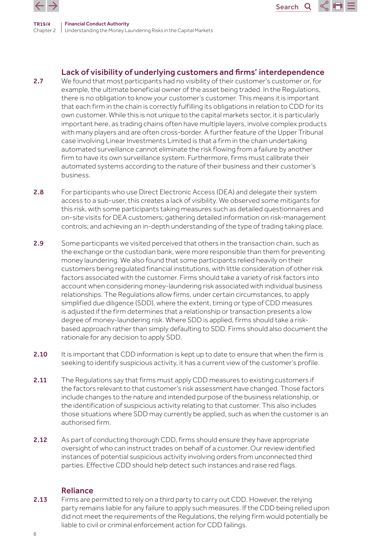

TR19/4 Chapter 2 Understanding the Money Laundering Risks in the Capital Markets Financial Conduct Authority

# Lack of visibility of underlying customers and firms' interdependence

Search<sub>Q</sub>

- 2.7 We found that most participants had no visibility of their customer's customer or, for example, the ultimate beneficial owner of the asset being traded. In the Regulations, there is no obligation to know your customer's customer. This means it is important that each firm in the chain is correctly fulfilling its obligations in relation to CDD for its own customer. While this is not unique to the capital markets sector, it is particularly important here, as trading chains often have multiple layers, involve complex products with many players and are often cross-border. A further feature of the Upper Tribunal case involving Linear Investments Limited is that a firm in the chain undertaking automated surveillance cannot eliminate the risk flowing from a failure by another firm to have its own surveillance system. Furthermore, firms must calibrate their automated systems according to the nature of their business and their customer's business.
- 2.8 For participants who use Direct Electronic Access (DEA) and delegate their system access to a sub-user, this creates a lack of visibility. We observed some mitigants for this risk, with some participants taking measures such as detailed questionnaires and on-site visits for DEA customers; gathering detailed information on risk-management controls; and achieving an in-depth understanding of the type of trading taking place.
- 2.9 Some participants we visited perceived that others in the transaction chain, such as the exchange or the custodian bank, were more responsible than them for preventing money laundering. We also found that some participants relied heavily on their customers being regulated financial institutions, with little consideration of other risk factors associated with the customer. Firms should take a variety of risk factors into account when considering money-laundering risk associated with individual business relationships. The Regulations allow firms, under certain circumstances, to apply simplified due diligence (SDD), where the extent, timing or type of CDD measures is adjusted if the firm determines that a relationship or transaction presents a low degree of money-laundering risk. Where SDD is applied, firms should take a riskbased approach rather than simply defaulting to SDD. Firms should also document the rationale for any decision to apply SDD.
- 2.10 It is important that CDD information is kept up to date to ensure that when the firm is seeking to identify suspicious activity, it has a current view of the customer's profile.
- 2.11 The Regulations say that firms must apply CDD measures to existing customers if the factors relevant to that customer's risk assessment have changed. Those factors include changes to the nature and intended purpose of the business relationship, or the identification of suspicious activity relating to that customer. This also includes those situations where SDD may currently be applied, such as when the customer is an authorised firm.
- 2.12 As part of conducting thorough CDD, firms should ensure they have appropriate oversight of who can instruct trades on behalf of a customer. Our review identified instances of potential suspicious activity involving orders from unconnected third parties. Effective CDD should help detect such instances and raise red flags.

### Reliance

2.13 Firms are permitted to rely on a third party to carry out CDD. However, the relying party remains liable for any failure to apply such measures. If the CDD being relied upon did not meet the requirements of the Regulations, the relying firm would potentially be liable to civil or criminal enforcement action for CDD failings.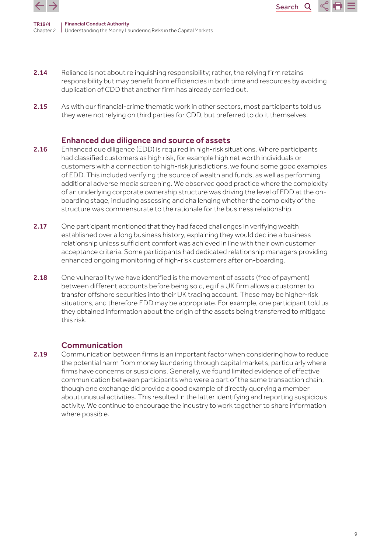

TR19/4 Chapter 2 Understanding the Money Laundering Risks in the Capital Markets Financial Conduct Authority

2.14 Reliance is not about relinquishing responsibility; rather, the relying firm retains responsibility but may benefit from efficiencies in both time and resources by avoiding duplication of CDD that another firm has already carried out.

Search<sub>Q</sub>

2.15 As with our financial-crime thematic work in other sectors, most participants told us they were not relying on third parties for CDD, but preferred to do it themselves.

### Enhanced due diligence and source of assets

- 2.16 Enhanced due diligence (EDD) is required in high-risk situations. Where participants had classified customers as high risk, for example high net worth individuals or customers with a connection to high-risk jurisdictions, we found some good examples of EDD. This included verifying the source of wealth and funds, as well as performing additional adverse media screening. We observed good practice where the complexity of an underlying corporate ownership structure was driving the level of EDD at the onboarding stage, including assessing and challenging whether the complexity of the structure was commensurate to the rationale for the business relationship.
- 2.17 One participant mentioned that they had faced challenges in verifying wealth established over a long business history, explaining they would decline a business relationship unless sufficient comfort was achieved in line with their own customer acceptance criteria. Some participants had dedicated relationship managers providing enhanced ongoing monitoring of high-risk customers after on-boarding.
- 2.18 One vulnerability we have identified is the movement of assets (free of payment) between different accounts before being sold, eg if a UK firm allows a customer to transfer offshore securities into their UK trading account. These may be higher-risk situations, and therefore EDD may be appropriate. For example, one participant told us they obtained information about the origin of the assets being transferred to mitigate this risk.

### Communication

2.19 Communication between firms is an important factor when considering how to reduce the potential harm from money laundering through capital markets, particularly where firms have concerns or suspicions. Generally, we found limited evidence of effective communication between participants who were a part of the same transaction chain, though one exchange did provide a good example of directly querying a member about unusual activities. This resulted in the latter identifying and reporting suspicious activity. We continue to encourage the industry to work together to share information where possible.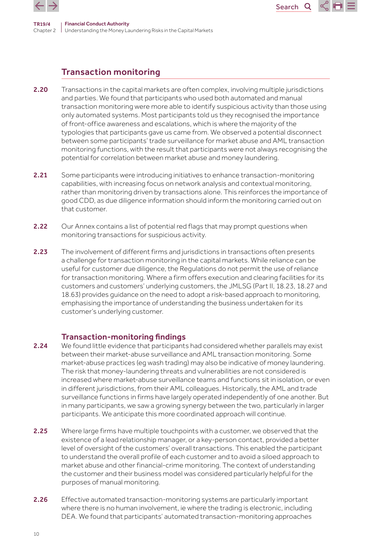

TR19/4



# Transaction monitoring

Chapter 2 Understanding the Money Laundering Risks in the Capital Markets

- 2.20 Transactions in the capital markets are often complex, involving multiple jurisdictions and parties. We found that participants who used both automated and manual transaction monitoring were more able to identify suspicious activity than those using only automated systems. Most participants told us they recognised the importance of front-office awareness and escalations, which is where the majority of the typologies that participants gave us came from. We observed a potential disconnect between some participants' trade surveillance for market abuse and AML transaction monitoring functions, with the result that participants were not always recognising the potential for correlation between market abuse and money laundering.
- 2.21 Some participants were introducing initiatives to enhance transaction-monitoring capabilities, with increasing focus on network analysis and contextual monitoring, rather than monitoring driven by transactions alone. This reinforces the importance of good CDD, as due diligence information should inform the monitoring carried out on that customer.
- 2.22 Our Annex contains a list of potential red flags that may prompt questions when monitoring transactions for suspicious activity.
- 2.23 The involvement of different firms and jurisdictions in transactions often presents a challenge for transaction monitoring in the capital markets. While reliance can be useful for customer due diligence, the Regulations do not permit the use of reliance for transaction monitoring. Where a firm offers execution and clearing facilities for its customers and customers' underlying customers, the JMLSG (Part II, 18.23, 18.27 and 18.63) provides guidance on the need to adopt a risk-based approach to monitoring, emphasising the importance of understanding the business undertaken for its customer's underlying customer.

# Transaction-monitoring findings

- 2.24 We found little evidence that participants had considered whether parallels may exist between their market-abuse surveillance and AML transaction monitoring. Some market-abuse practices (eg wash trading) may also be indicative of money laundering. The risk that money-laundering threats and vulnerabilities are not considered is increased where market-abuse surveillance teams and functions sit in isolation, or even in different jurisdictions, from their AML colleagues. Historically, the AML and trade surveillance functions in firms have largely operated independently of one another. But in many participants, we saw a growing synergy between the two, particularly in larger participants. We anticipate this more coordinated approach will continue.
- 2.25 Where large firms have multiple touchpoints with a customer, we observed that the existence of a lead relationship manager, or a key-person contact, provided a better level of oversight of the customers' overall transactions. This enabled the participant to understand the overall profile of each customer and to avoid a siloed approach to market abuse and other financial-crime monitoring. The context of understanding the customer and their business model was considered particularly helpful for the purposes of manual monitoring.
- 2.26 Effective automated transaction-monitoring systems are particularly important where there is no human involvement, ie where the trading is electronic, including DEA. We found that participants' automated transaction-monitoring approaches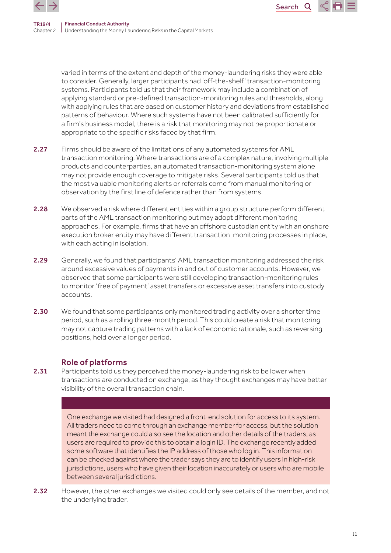varied in terms of the extent and depth of the money-laundering risks they were able to consider. Generally, larger participants had 'off-the-shelf' transaction-monitoring systems. Participants told us that their framework may include a combination of applying standard or pre-defined transaction-monitoring rules and thresholds, along with applying rules that are based on customer history and deviations from established patterns of behaviour. Where such systems have not been calibrated sufficiently for a firm's business model, there is a risk that monitoring may not be proportionate or appropriate to the specific risks faced by that firm.

Search

 $\mathbf Q$ 

- 2.27 Firms should be aware of the limitations of any automated systems for AML transaction monitoring. Where transactions are of a complex nature, involving multiple products and counterparties, an automated transaction-monitoring system alone may not provide enough coverage to mitigate risks. Several participants told us that the most valuable monitoring alerts or referrals come from manual monitoring or observation by the first line of defence rather than from systems.
- 2.28 We observed a risk where different entities within a group structure perform different parts of the AML transaction monitoring but may adopt different monitoring approaches. For example, firms that have an offshore custodian entity with an onshore execution broker entity may have different transaction-monitoring processes in place, with each acting in isolation.
- 2.29 Generally, we found that participants' AML transaction monitoring addressed the risk around excessive values of payments in and out of customer accounts. However, we observed that some participants were still developing transaction-monitoring rules to monitor 'free of payment' asset transfers or excessive asset transfers into custody accounts.
- **2.30** We found that some participants only monitored trading activity over a shorter time period, such as a rolling three-month period. This could create a risk that monitoring may not capture trading patterns with a lack of economic rationale, such as reversing positions, held over a longer period.

# Role of platforms

2.31 Participants told us they perceived the money-laundering risk to be lower when transactions are conducted on exchange, as they thought exchanges may have better visibility of the overall transaction chain.

> One exchange we visited had designed a front-end solution for access to its system. All traders need to come through an exchange member for access, but the solution meant the exchange could also see the location and other details of the traders, as users are required to provide this to obtain a login ID. The exchange recently added some software that identifies the IP address of those who log in. This information can be checked against where the trader says they are to identify users in high-risk jurisdictions, users who have given their location inaccurately or users who are mobile between several jurisdictions.

2.32 However, the other exchanges we visited could only see details of the member, and not the underlying trader.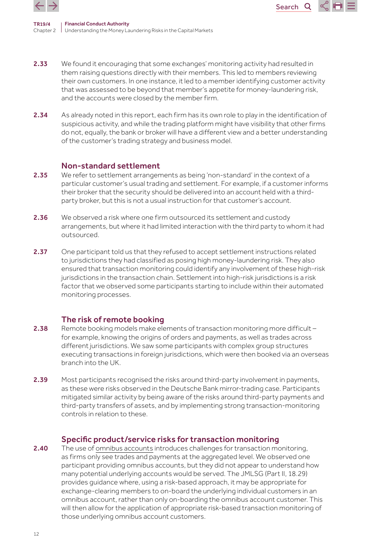

TR19/4 Chapter 2 Understanding the Money Laundering Risks in the Capital Markets Financial Conduct Authority

2.33 We found it encouraging that some exchanges' monitoring activity had resulted in them raising questions directly with their members. This led to members reviewing their own customers. In one instance, it led to a member identifying customer activity that was assessed to be beyond that member's appetite for money-laundering risk, and the accounts were closed by the member firm.

Search<sub>Q</sub>

2.34 As already noted in this report, each firm has its own role to play in the identification of suspicious activity, and while the trading platform might have visibility that other firms do not, equally, the bank or broker will have a different view and a better understanding of the customer's trading strategy and business model.

## Non-standard settlement

- 2.35 We refer to settlement arrangements as being 'non-standard' in the context of a particular customer's usual trading and settlement. For example, if a customer informs their broker that the security should be delivered into an account held with a thirdparty broker, but this is not a usual instruction for that customer's account.
- 2.36 We observed a risk where one firm outsourced its settlement and custody arrangements, but where it had limited interaction with the third party to whom it had outsourced.
- 2.37 One participant told us that they refused to accept settlement instructions related to jurisdictions they had classified as posing high money-laundering risk. They also ensured that transaction monitoring could identify any involvement of these high-risk jurisdictions in the transaction chain. Settlement into high-risk jurisdictions is a risk factor that we observed some participants starting to include within their automated monitoring processes.

# The risk of remote booking

- 2.38 Remote booking models make elements of transaction monitoring more difficult for example, knowing the origins of orders and payments, as well as trades across different jurisdictions. We saw some participants with complex group structures executing transactions in foreign jurisdictions, which were then booked via an overseas branch into the UK.
- 2.39 Most participants recognised the risks around third-party involvement in payments, as these were risks observed in the Deutsche Bank mirror-trading case. Participants mitigated similar activity by being aware of the risks around third-party payments and third-party transfers of assets, and by implementing strong transaction-monitoring controls in relation to these.

## Specific product/service risks for transaction monitoring

2.40 The use of [omnibus accounts](https://www.handbook.fca.org.uk/handbook/glossary/G2983.html) introduces challenges for transaction monitoring, as firms only see trades and payments at the aggregated level. We observed one participant providing omnibus accounts, but they did not appear to understand how many potential underlying accounts would be served. The JMLSG (Part II, 18.29) provides guidance where, using a risk-based approach, it may be appropriate for exchange-clearing members to on-board the underlying individual customers in an omnibus account, rather than only on-boarding the omnibus account customer. This will then allow for the application of appropriate risk-based transaction monitoring of those underlying omnibus account customers.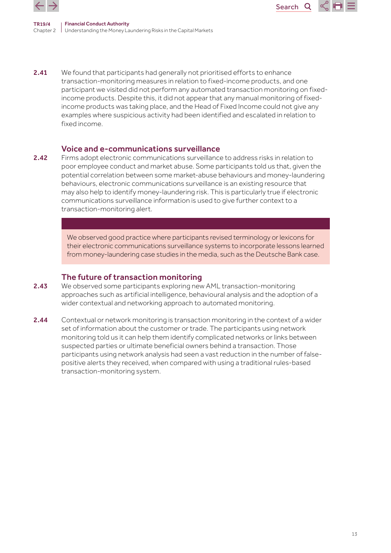

TR19/4 Chapter 2 Understanding the Money Laundering Risks in the Capital Markets Financial Conduct Authority

2.41 We found that participants had generally not prioritised efforts to enhance transaction-monitoring measures in relation to fixed-income products, and one participant we visited did not perform any automated transaction monitoring on fixedincome products. Despite this, it did not appear that any manual monitoring of fixedincome products was taking place, and the Head of Fixed Income could not give any examples where suspicious activity had been identified and escalated in relation to fixed income.

Search

Q

### Voice and e-communications surveillance

2.42 Firms adopt electronic communications surveillance to address risks in relation to poor employee conduct and market abuse. Some participants told us that, given the potential correlation between some market-abuse behaviours and money-laundering behaviours, electronic communications surveillance is an existing resource that may also help to identify money-laundering risk. This is particularly true if electronic communications surveillance information is used to give further context to a transaction-monitoring alert.

> We observed good practice where participants revised terminology or lexicons for their electronic communications surveillance systems to incorporate lessons learned from money-laundering case studies in the media, such as the Deutsche Bank case.

#### The future of transaction monitoring

- 2.43 We observed some participants exploring new AML transaction-monitoring approaches such as artificial intelligence, behavioural analysis and the adoption of a wider contextual and networking approach to automated monitoring.
- 2.44 Contextual or network monitoring is transaction monitoring in the context of a wider set of information about the customer or trade. The participants using network monitoring told us it can help them identify complicated networks or links between suspected parties or ultimate beneficial owners behind a transaction. Those participants using network analysis had seen a vast reduction in the number of falsepositive alerts they received, when compared with using a traditional rules-based transaction-monitoring system.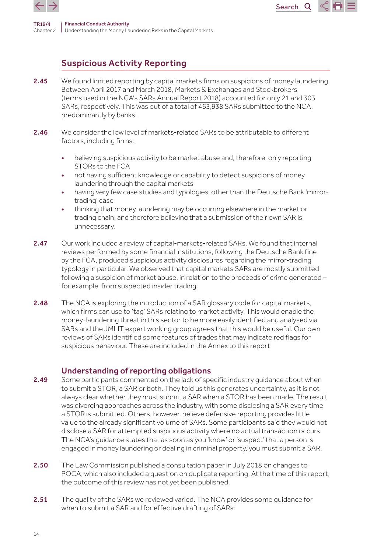

# Suspicious Activity Reporting

2.45 We found limited reporting by capital markets firms on suspicions of money laundering. Between April 2017 and March 2018, Markets & Exchanges and Stockbrokers (terms used in the NCA's [SARs Annual Report 2018](https://www.nationalcrimeagency.gov.uk/who-we-are/publications/256-2018-sars-annual-report/file)) accounted for only 21 and 303 SARs, respectively. This was out of a total of 463,938 SARs submitted to the NCA, predominantly by banks.

Search<sub>Q</sub>

- 2.46 We consider the low level of markets-related SARs to be attributable to different factors, including firms:
	- believing suspicious activity to be market abuse and, therefore, only reporting STORs to the FCA
	- not having sufficient knowledge or capability to detect suspicions of money laundering through the capital markets
	- having very few case studies and typologies, other than the Deutsche Bank 'mirrortrading' case
	- thinking that money laundering may be occurring elsewhere in the market or trading chain, and therefore believing that a submission of their own SAR is unnecessary.
- 2.47 Our work included a review of capital-markets-related SARs. We found that internal reviews performed by some financial institutions, following the Deutsche Bank fine by the FCA, produced suspicious activity disclosures regarding the mirror-trading typology in particular. We observed that capital markets SARs are mostly submitted following a suspicion of market abuse, in relation to the proceeds of crime generated – for example, from suspected insider trading.
- 2.48 The NCA is exploring the introduction of a SAR glossary code for capital markets, which firms can use to 'tag' SARs relating to market activity. This would enable the money-laundering threat in this sector to be more easily identified and analysed via SARs and the JMLIT expert working group agrees that this would be useful. Our own reviews of SARs identified some features of trades that may indicate red flags for suspicious behaviour. These are included in the Annex to this report.

# Understanding of reporting obligations

- 2.49 Some participants commented on the lack of specific industry quidance about when to submit a STOR, a SAR or both. They told us this generates uncertainty, as it is not always clear whether they must submit a SAR when a STOR has been made. The result was diverging approaches across the industry, with some disclosing a SAR every time a STOR is submitted. Others, however, believe defensive reporting provides little value to the already significant volume of SARs. Some participants said they would not disclose a SAR for attempted suspicious activity where no actual transaction occurs. The NCA's guidance states that as soon as you 'know' or 'suspect' that a person is engaged in money laundering or dealing in criminal property, you must submit a SAR.
- 2.50 The Law Commission published a [consultation paper](https://www.lawcom.gov.uk/document/anti-money-laundering-the-sars-regime/) in July 2018 on changes to POCA, which also included a question on duplicate reporting. At the time of this report, the outcome of this review has not yet been published.
- 2.51 The quality of the SARs we reviewed varied. The NCA provides some quidance for when to submit a SAR and for effective drafting of SARs: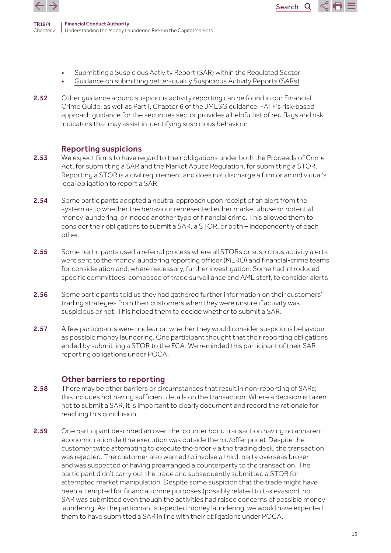

• [Submitting a Suspicious Activity Report \(SAR\) within the Regulated Sector](https://nationalcrimeagency.gov.uk/who-we-are/publications/233-submitting-a-suspicious-activity-report-sar-within-the-regulated-sector/file)

Search<sub>Q</sub>

- [Guidance on submitting better-quality Suspicious Activity Reports \(SARs\)](https://www.nationalcrimeagency.gov.uk/who-we-are/publications/42-guidance-on-submitting-better-quality-sars/file)
- 2.52 Other quidance around suspicious activity reporting can be found in our Financial Crime Guide, as well as Part I, Chapter 6 of the JMLSG guidance. FATF's risk-based approach guidance for the securities sector provides a helpful list of red flags and risk indicators that may assist in identifying suspicious behaviour.

## Reporting suspicions

- 2.53 We expect firms to have regard to their obligations under both the Proceeds of Crime Act, for submitting a SAR and the Market Abuse Regulation, for submitting a STOR. Reporting a STOR is a civil requirement and does not discharge a firm or an individual's legal obligation to report a SAR.
- 2.54 Some participants adopted a neutral approach upon receipt of an alert from the system as to whether the behaviour represented either market abuse or potential money laundering, or indeed another type of financial crime. This allowed them to consider their obligations to submit a SAR, a STOR, or both – independently of each other.
- 2.55 Some participants used a referral process where all STORs or suspicious activity alerts were sent to the money laundering reporting officer (MLRO) and financial-crime teams for consideration and, where necessary, further investigation. Some had introduced specific committees, composed of trade surveillance and AML staff, to consider alerts.
- 2.56 Some participants told us they had gathered further information on their customers' trading strategies from their customers when they were unsure if activity was suspicious or not. This helped them to decide whether to submit a SAR.
- 2.57 A few participants were unclear on whether they would consider suspicious behaviour as possible money laundering. One participant thought that their reporting obligations ended by submitting a STOR to the FCA. We reminded this participant of their SARreporting obligations under POCA.

# Other barriers to reporting

- **2.58** There may be other barriers or circumstances that result in non-reporting of SARs; this includes not having sufficient details on the transaction. Where a decision is taken not to submit a SAR, it is important to clearly document and record the rationale for reaching this conclusion.
- 2.59 One participant described an over-the-counter bond transaction having no apparent economic rationale (the execution was outside the bid/offer price). Despite the customer twice attempting to execute the order via the trading desk, the transaction was rejected. The customer also wanted to involve a third-party overseas broker and was suspected of having prearranged a counterparty to the transaction. The participant didn't carry out the trade and subsequently submitted a STOR for attempted market manipulation. Despite some suspicion that the trade might have been attempted for financial-crime purposes (possibly related to tax evasion), no SAR was submitted even though the activities had raised concerns of possible money laundering. As the participant suspected money laundering, we would have expected them to have submitted a SAR in line with their obligations under POCA.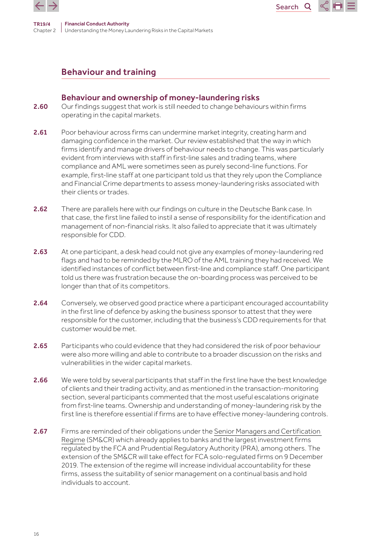



## Behaviour and ownership of money-laundering risks

2.60 Our findings suggest that work is still needed to change behaviours within firms operating in the capital markets.

Search

 $\mathsf{Q}$ 

- 2.61 Poor behaviour across firms can undermine market integrity, creating harm and damaging confidence in the market. Our review established that the way in which firms identify and manage drivers of behaviour needs to change. This was particularly evident from interviews with staff in first-line sales and trading teams, where compliance and AML were sometimes seen as purely second-line functions. For example, first-line staff at one participant told us that they rely upon the Compliance and Financial Crime departments to assess money-laundering risks associated with their clients or trades.
- 2.62 There are parallels here with our findings on culture in the Deutsche Bank case. In that case, the first line failed to instil a sense of responsibility for the identification and management of non-financial risks. It also failed to appreciate that it was ultimately responsible for CDD.
- 2.63 At one participant, a desk head could not give any examples of money-laundering red flags and had to be reminded by the MLRO of the AML training they had received. We identified instances of conflict between first-line and compliance staff. One participant told us there was frustration because the on-boarding process was perceived to be longer than that of its competitors.
- 2.64 Conversely, we observed good practice where a participant encouraged accountability in the first line of defence by asking the business sponsor to attest that they were responsible for the customer, including that the business's CDD requirements for that customer would be met.
- 2.65 Participants who could evidence that they had considered the risk of poor behaviour were also more willing and able to contribute to a broader discussion on the risks and vulnerabilities in the wider capital markets.
- 2.66 We were told by several participants that staff in the first line have the best knowledge of clients and their trading activity, and as mentioned in the transaction-monitoring section, several participants commented that the most useful escalations originate from first-line teams. Ownership and understanding of money-laundering risk by the first line is therefore essential if firms are to have effective money-laundering controls.
- 2.67 Firms are reminded of their obligations under the Senior Managers and Certification [Regime](https://www.fca.org.uk/firms/senior-managers-certification-regime) (SM&CR) which already applies to banks and the largest investment firms regulated by the FCA and Prudential Regulatory Authority (PRA), among others. The extension of the SM&CR will take effect for FCA solo-regulated firms on 9 December 2019. The extension of the regime will increase individual accountability for these firms, assess the suitability of senior management on a continual basis and hold individuals to account.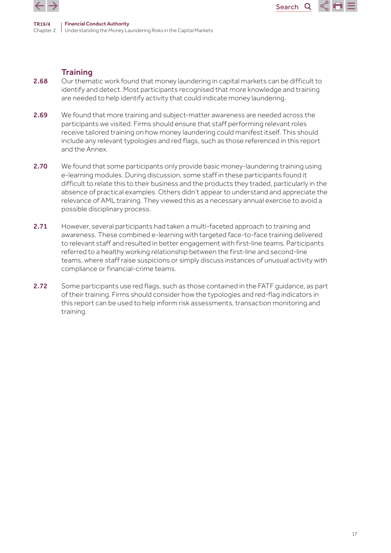



2.68 Our thematic work found that money laundering in capital markets can be difficult to identify and detect. Most participants recognised that more knowledge and training are needed to help identify activity that could indicate money laundering.

Search

 $\mathsf{Q}$ 

- 2.69 We found that more training and subject-matter awareness are needed across the participants we visited. Firms should ensure that staff performing relevant roles receive tailored training on how money laundering could manifest itself. This should include any relevant typologies and red flags, such as those referenced in this report and the Annex.
- 2.70 We found that some participants only provide basic money-laundering training using e-learning modules. During discussion, some staff in these participants found it difficult to relate this to their business and the products they traded, particularly in the absence of practical examples. Others didn't appear to understand and appreciate the relevance of AML training. They viewed this as a necessary annual exercise to avoid a possible disciplinary process.
- 2.71 However, several participants had taken a multi-faceted approach to training and awareness. These combined e-learning with targeted face-to-face training delivered to relevant staff and resulted in better engagement with first-line teams. Participants referred to a healthy working relationship between the first-line and second-line teams, where staff raise suspicions or simply discuss instances of unusual activity with compliance or financial-crime teams.
- 2.72 Some participants use red flags, such as those contained in the FATF guidance, as part of their training. Firms should consider how the typologies and red-flag indicators in this report can be used to help inform risk assessments, transaction monitoring and training.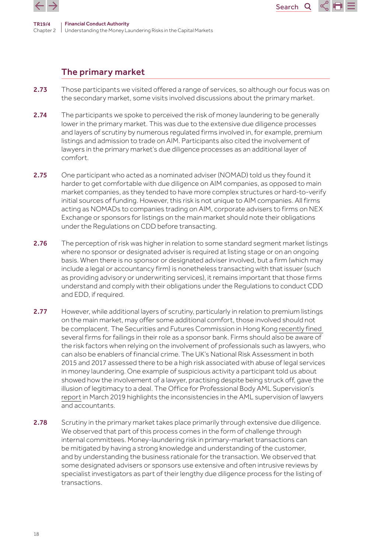



TR19/4 Chapter 2 Understanding the Money Laundering Risks in the Capital Markets Financial Conduct Authority

# The primary market

- 2.73 Those participants we visited offered a range of services, so although our focus was on the secondary market, some visits involved discussions about the primary market.
- 2.74 The participants we spoke to perceived the risk of money laundering to be generally lower in the primary market. This was due to the extensive due diligence processes and layers of scrutiny by numerous regulated firms involved in, for example, premium listings and admission to trade on AIM. Participants also cited the involvement of lawyers in the primary market's due diligence processes as an additional layer of comfort.
- 2.75 One participant who acted as a nominated adviser (NOMAD) told us they found it harder to get comfortable with due diligence on AIM companies, as opposed to main market companies, as they tended to have more complex structures or hard-to-verify initial sources of funding. However, this risk is not unique to AIM companies. All firms acting as NOMADs to companies trading on AIM, corporate advisers to firms on NEX Exchange or sponsors for listings on the main market should note their obligations under the Regulations on CDD before transacting.
- 2.76 The perception of risk was higher in relation to some standard segment market listings where no sponsor or designated adviser is required at listing stage or on an ongoing basis. When there is no sponsor or designated adviser involved, but a firm (which may include a legal or accountancy firm) is nonetheless transacting with that issuer (such as providing advisory or underwriting services), it remains important that those firms understand and comply with their obligations under the Regulations to conduct CDD and EDD, if required.
- 2.77 However, while additional layers of scrutiny, particularly in relation to premium listings on the main market, may offer some additional comfort, those involved should not be complacent. The Securities and Futures Commission in Hong Kong [recently fined](https://www.sfc.hk/edistributionWeb/gateway/EN/news-and-announcements/news/doc?refNo=19PR19)  several firms for failings in their role as a sponsor bank. Firms should also be aware of the risk factors when relying on the involvement of professionals such as lawyers, who can also be enablers of financial crime. The UK's National Risk Assessment in both 2015 and 2017 assessed there to be a high risk associated with abuse of legal services in money laundering. One example of suspicious activity a participant told us about showed how the involvement of a lawyer, practising despite being struck off, gave the illusion of legitimacy to a deal. The Office for Professional Body AML Supervision's [report](https://www.fca.org.uk/publication/opbas/themes-2018-opbas-anti-money-laundering-supervisory-assessments.pdf) in March 2019 highlights the inconsistencies in the AML supervision of lawyers and accountants.
- 2.78 Scrutiny in the primary market takes place primarily through extensive due diligence. We observed that part of this process comes in the form of challenge through internal committees. Money-laundering risk in primary-market transactions can be mitigated by having a strong knowledge and understanding of the customer, and by understanding the business rationale for the transaction. We observed that some designated advisers or sponsors use extensive and often intrusive reviews by specialist investigators as part of their lengthy due diligence process for the listing of transactions.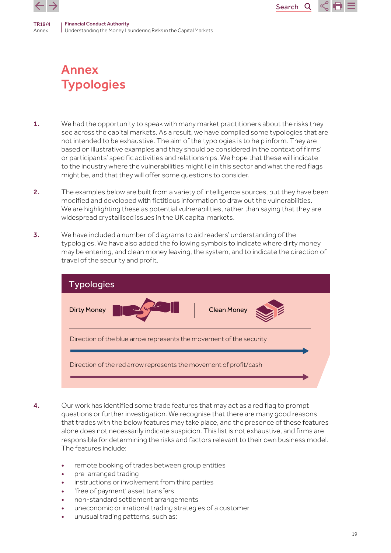<span id="page-18-0"></span>

# Annex **Typologies**

1. We had the opportunity to speak with many market practitioners about the risks they see across the capital markets. As a result, we have compiled some typologies that are not intended to be exhaustive. The aim of the typologies is to help inform. They are based on illustrative examples and they should be considered in the context of firms' or participants' specific activities and relationships. We hope that these will indicate to the industry where the vulnerabilities might lie in this sector and what the red flags might be, and that they will offer some questions to consider.

Search

Q

- 2. The examples below are built from a variety of intelligence sources, but they have been modified and developed with fictitious information to draw out the vulnerabilities. We are highlighting these as potential vulnerabilities, rather than saying that they are widespread crystallised issues in the UK capital markets.
- 3. We have included a number of diagrams to aid readers' understanding of the typologies. We have also added the following symbols to indicate where dirty money may be entering, and clean money leaving, the system, and to indicate the direction of travel of the security and profit.



- 4. Our work has identified some trade features that may act as a red flag to prompt questions or further investigation. We recognise that there are many good reasons that trades with the below features may take place, and the presence of these features alone does not necessarily indicate suspicion. This list is not exhaustive, and firms are responsible for determining the risks and factors relevant to their own business model. The features include:
	- remote booking of trades between group entities
	- pre-arranged trading
	- instructions or involvement from third parties
	- 'free of payment' asset transfers
	- non-standard settlement arrangements
	- uneconomic or irrational trading strategies of a customer
	- unusual trading patterns, such as: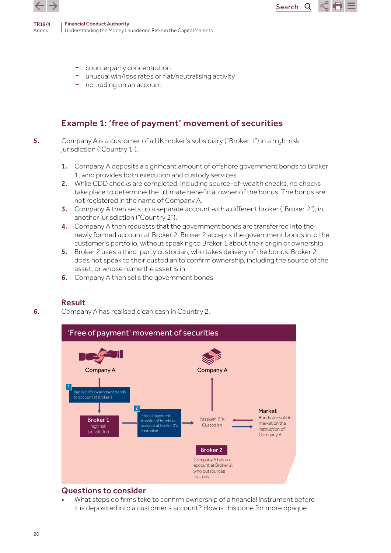

- counterparty concentration
- unusual win/loss rates or flat/neutralising activity
- no trading on an account

# Example 1: 'free of payment' movement of securities

- 5. Company A is a customer of a UK broker's subsidiary ("Broker 1") in a high-risk jurisdiction ("Country 1").
	- 1. Company A deposits a significant amount of offshore government bonds to Broker 1, who provides both execution and custody services.

Search<sub>Q</sub>

- 2. While CDD checks are completed, including source-of-wealth checks, no checks take place to determine the ultimate beneficial owner of the bonds. The bonds are not registered in the name of Company A.
- 3. Company A then sets up a separate account with a different broker ("Broker 2"), in another jurisdiction ("Country 2").
- 4. Company A then requests that the government bonds are transferred into the newly formed account at Broker 2. Broker 2 accepts the government bonds into the customer's portfolio, without speaking to Broker 1 about their origin or ownership.
- 5. Broker 2 uses a third-party custodian, who takes delivery of the bonds. Broker 2 does not speak to their custodian to confirm ownership, including the source of the asset, or whose name the asset is in.
- **6.** Company A then sells the government bonds.

### Result

6. Company A has realised clean cash in Country 2.



# Questions to consider

• What steps do firms take to confirm ownership of a financial instrument before it is deposited into a customer's account? How is this done for more opaque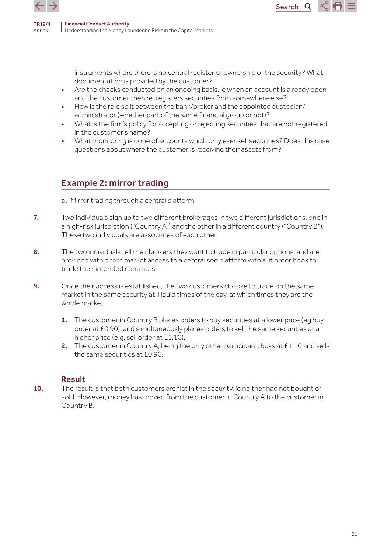

instruments where there is no central register of ownership of the security? What documentation is provided by the customer?

Search<sub>Q</sub>

- Are the checks conducted on an ongoing basis, ie when an account is already open and the customer then re-registers securities from somewhere else?
- How is the role split between the bank/broker and the appointed custodian/ administrator (whether part of the same financial group or not)?
- What is the firm's policy for accepting or rejecting securities that are not registered in the customer's name?
- What monitoring is done of accounts which only ever sell securities? Does this raise questions about where the customer is receiving their assets from?

# Example 2: mirror trading

- a. Mirror trading through a central platform
- 7. Two individuals sign up to two different brokerages in two different jurisdictions, one in a high-risk jurisdiction ("Country A") and the other in a different country ("Country B"). These two individuals are associates of each other.
- 8. The two individuals tell their brokers they want to trade in particular options, and are provided with direct market access to a centralised platform with a lit order book to trade their intended contracts.
- 9. Once their access is established, the two customers choose to trade on the same market in the same security at illiquid times of the day, at which times they are the whole market.
	- 1. The customer in Country B places orders to buy securities at a lower price (eq buy order at £0.90), and simultaneously places orders to sell the same securities at a higher price (e.g. sell order at £1.10).
	- 2. The customer in Country A, being the only other participant, buys at £1.10 and sells the same securities at £0.90.

# Result

10. The result is that both customers are flat in the security, ie neither had net bought or sold. However, money has moved from the customer in Country A to the customer in Country B.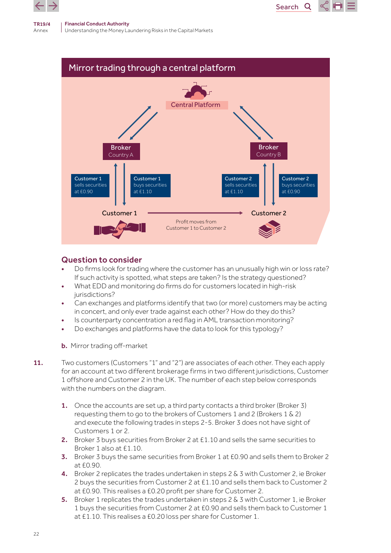

Understanding the Money Laundering Risks in the Capital Markets



Search<sub>Q</sub>

- Do firms look for trading where the customer has an unusually high win or loss rate? If such activity is spotted, what steps are taken? Is the strategy questioned?
- What EDD and monitoring do firms do for customers located in high-risk jurisdictions?
- Can exchanges and platforms identify that two (or more) customers may be acting in concert, and only ever trade against each other? How do they do this?
- Is counterparty concentration a red flag in AML transaction monitoring?
- Do exchanges and platforms have the data to look for this typology?
- b. Mirror trading off-market
- 11. Two customers (Customers "1" and "2") are associates of each other. They each apply for an account at two different brokerage firms in two different jurisdictions, Customer 1 offshore and Customer 2 in the UK. The number of each step below corresponds with the numbers on the diagram.
	- 1. Once the accounts are set up, a third party contacts a third broker (Broker 3) requesting them to go to the brokers of Customers 1 and 2 (Brokers 1 & 2) and execute the following trades in steps 2-5. Broker 3 does not have sight of Customers 1 or 2.
	- 2. Broker 3 buys securities from Broker 2 at £1.10 and sells the same securities to Broker 1 also at £1.10.
	- 3. Broker 3 buys the same securities from Broker 1 at £0.90 and sells them to Broker 2 at £0.90.
	- 4. Broker 2 replicates the trades undertaken in steps 2 & 3 with Customer 2, ie Broker 2 buys the securities from Customer 2 at £1.10 and sells them back to Customer 2 at £0.90. This realises a £0.20 profit per share for Customer 2.
	- 5. Broker 1 replicates the trades undertaken in steps 2 & 3 with Customer 1, ie Broker 1 buys the securities from Customer 2 at £0.90 and sells them back to Customer 1 at £1.10. This realises a £0.20 loss per share for Customer 1.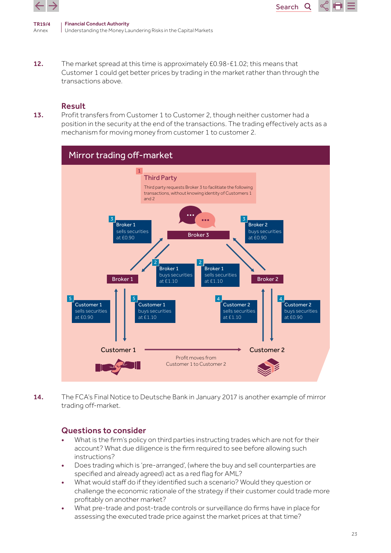![](_page_22_Picture_0.jpeg)

Financial Conduct Authority Understanding the Money Laundering Risks in the Capital Markets

12. The market spread at this time is approximately £0.98-£1.02; this means that Customer 1 could get better prices by trading in the market rather than through the transactions above.

Search<sub>Q</sub>

### Result

13. Profit transfers from Customer 1 to Customer 2, though neither customer had a position in the security at the end of the transactions. The trading effectively acts as a mechanism for moving money from customer 1 to customer 2.

![](_page_22_Figure_5.jpeg)

14. The FCA's Final Notice to Deutsche Bank in January 2017 is another example of mirror trading off-market.

- What is the firm's policy on third parties instructing trades which are not for their account? What due diligence is the firm required to see before allowing such instructions?
- Does trading which is 'pre-arranged', (where the buy and sell counterparties are specified and already agreed) act as a red flag for AML?
- What would staff do if they identified such a scenario? Would they question or challenge the economic rationale of the strategy if their customer could trade more profitably on another market?
- What pre-trade and post-trade controls or surveillance do firms have in place for assessing the executed trade price against the market prices at that time?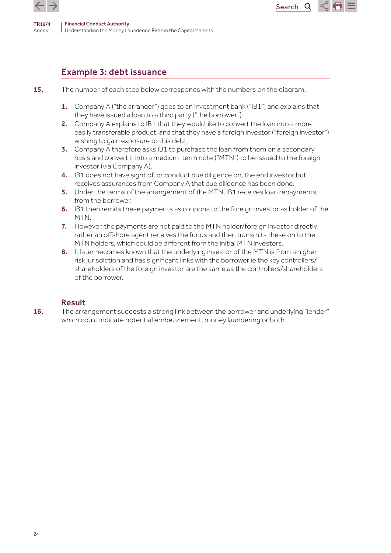![](_page_23_Picture_0.jpeg)

# Example 3: debt issuance

- 15. The number of each step below corresponds with the numbers on the diagram.
	- 1. Company A ("the arranger") goes to an investment bank ("IB1") and explains that they have issued a loan to a third party ("the borrower").
	- 2. Company A explains to IB1 that they would like to convert the loan into a more easily transferable product, and that they have a foreign investor ("foreign investor") wishing to gain exposure to this debt.

Search<sub>Q</sub>

- **3.** Company A therefore asks IB1 to purchase the loan from them on a secondary basis and convert it into a medium-term note ("MTN") to be issued to the foreign investor (via Company A).
- 4. IB1 does not have sight of, or conduct due diligence on, the end investor but receives assurances from Company A that due diligence has been done.
- 5. Under the terms of the arrangement of the MTN, IB1 receives loan repayments from the borrower.
- 6. IB1 then remits these payments as coupons to the foreign investor as holder of the MTN.
- 7. However, the payments are not paid to the MTN holder/foreign investor directly, rather an offshore agent receives the funds and then transmits these on to the MTN holders, which could be different from the initial MTN investors.
- 8. It later becomes known that the underlying investor of the MTN is from a higherrisk jurisdiction and has significant links with the borrower ie the key controllers/ shareholders of the foreign investor are the same as the controllers/shareholders of the borrower.

# Result

16. The arrangement suggests a strong link between the borrower and underlying "lender" which could indicate potential embezzlement, money laundering or both.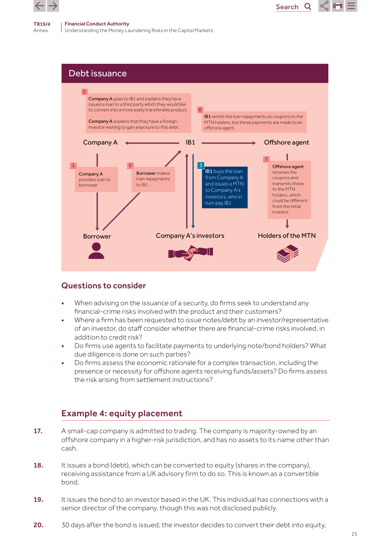![](_page_24_Picture_0.jpeg)

Debt issuance Borrower **Company A's investors** Holders of the MTN Company A IB1 Offshore agent **IB1** buys the loan from Company A and issues a MTN to Company A's investors, who in turn pay IB1 Company A provides loan to borrower 1 **1** Offshore agent receives the coupons and transmits these to the MTN holders, which could be different from the initial investor 7 Borrower makes loan repayments to IB1 5 Company A goes to IB1 and explains they have issued a loan to a third party which they would like to convert into a more easily transferable product. Company A explains that they have a foreign investor wishing to gain exposure to this debt. 2 IB1 remits the loan repayments as coupons to the MTN holders, but these payments are made to an offshore agent. 6

Search<sub>Q</sub>

# Questions to consider

- When advising on the issuance of a security, do firms seek to understand any financial-crime risks involved with the product and their customers?
- Where a firm has been requested to issue notes/debt by an investor/representative of an investor, do staff consider whether there are financial-crime risks involved, in addition to credit risk?
- Do firms use agents to facilitate payments to underlying note/bond holders? What due diligence is done on such parties?
- Do firms assess the economic rationale for a complex transaction, including the presence or necessity for offshore agents receiving funds/assets? Do firms assess the risk arising from settlement instructions?

# Example 4: equity placement

- 17. A small-cap company is admitted to trading. The company is majority-owned by an offshore company in a higher-risk jurisdiction, and has no assets to its name other than cash.
- 18. It issues a bond (debt), which can be converted to equity (shares in the company), receiving assistance from a UK advisory firm to do so. This is known as a convertible bond.
- 19. It issues the bond to an investor based in the UK. This individual has connections with a senior director of the company, though this was not disclosed publicly.
- 20. 30 days after the bond is issued, the investor decides to convert their debt into equity,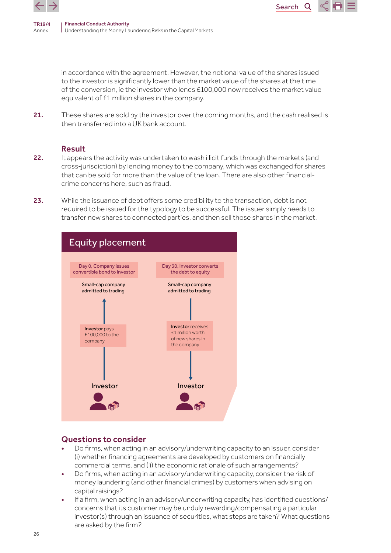![](_page_25_Picture_0.jpeg)

in accordance with the agreement. However, the notional value of the shares issued to the investor is significantly lower than the market value of the shares at the time of the conversion, ie the investor who lends £100,000 now receives the market value equivalent of £1 million shares in the company.

Search<sub>Q</sub>

21. These shares are sold by the investor over the coming months, and the cash realised is then transferred into a UK bank account.

### Result

- 22. It appears the activity was undertaken to wash illicit funds through the markets (and cross-jurisdiction) by lending money to the company, which was exchanged for shares that can be sold for more than the value of the loan. There are also other financialcrime concerns here, such as fraud.
- 23. While the issuance of debt offers some credibility to the transaction, debt is not required to be issued for the typology to be successful. The issuer simply needs to transfer new shares to connected parties, and then sell those shares in the market.

![](_page_25_Figure_7.jpeg)

- Do firms, when acting in an advisory/underwriting capacity to an issuer, consider (i) whether financing agreements are developed by customers on financially commercial terms, and (ii) the economic rationale of such arrangements?
- Do firms, when acting in an advisory/underwriting capacity, consider the risk of money laundering (and other financial crimes) by customers when advising on capital raisings?
- If a firm, when acting in an advisory/underwriting capacity, has identified questions/ concerns that its customer may be unduly rewarding/compensating a particular investor(s) through an issuance of securities, what steps are taken? What questions are asked by the firm?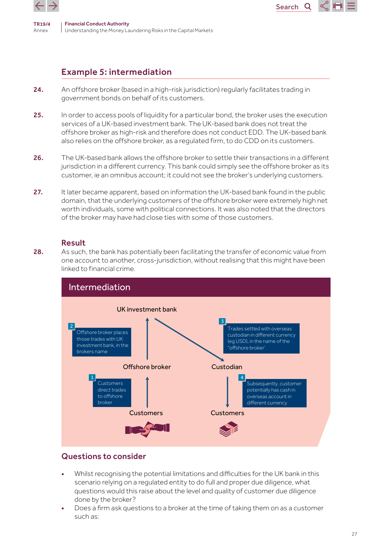![](_page_26_Picture_0.jpeg)

![](_page_26_Picture_2.jpeg)

- 24. An offshore broker (based in a high-risk jurisdiction) regularly facilitates trading in government bonds on behalf of its customers.
- 25. In order to access pools of liquidity for a particular bond, the broker uses the execution services of a UK-based investment bank. The UK-based bank does not treat the offshore broker as high-risk and therefore does not conduct EDD. The UK-based bank also relies on the offshore broker, as a regulated firm, to do CDD on its customers.

Search<sub>Q</sub>

- 26. The UK-based bank allows the offshore broker to settle their transactions in a different jurisdiction in a different currency. This bank could simply see the offshore broker as its customer, ie an omnibus account; it could not see the broker's underlying customers.
- 27. It later became apparent, based on information the UK-based bank found in the public domain, that the underlying customers of the offshore broker were extremely high net worth individuals, some with political connections. It was also noted that the directors of the broker may have had close ties with some of those customers.

#### Result

28. As such, the bank has potentially been facilitating the transfer of economic value from one account to another, cross-jurisdiction, without realising that this might have been linked to financial crime.

![](_page_26_Figure_9.jpeg)

- Whilst recognising the potential limitations and difficulties for the UK bank in this scenario relying on a regulated entity to do full and proper due diligence, what questions would this raise about the level and quality of customer due diligence done by the broker?
- Does a firm ask questions to a broker at the time of taking them on as a customer such as: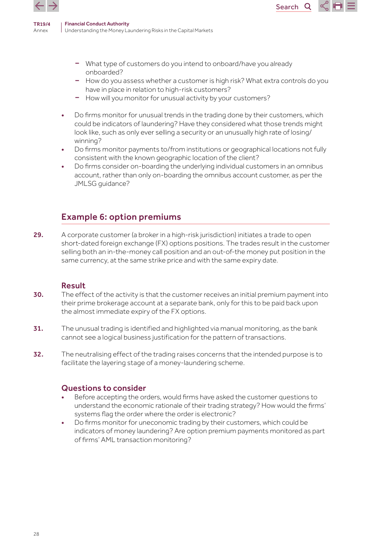![](_page_27_Picture_0.jpeg)

![](_page_27_Picture_2.jpeg)

– How do you assess whether a customer is high risk? What extra controls do you have in place in relation to high-risk customers?

Search<sub>Q</sub>

- How will you monitor for unusual activity by your customers?
- Do firms monitor for unusual trends in the trading done by their customers, which could be indicators of laundering? Have they considered what those trends might look like, such as only ever selling a security or an unusually high rate of losing/ winning?
- Do firms monitor payments to/from institutions or geographical locations not fully consistent with the known geographic location of the client?
- Do firms consider on-boarding the underlying individual customers in an omnibus account, rather than only on-boarding the omnibus account customer, as per the JMLSG guidance?

# Example 6: option premiums

29. A corporate customer (a broker in a high-risk jurisdiction) initiates a trade to open short-dated foreign exchange (FX) options positions. The trades result in the customer selling both an in-the-money call position and an out-of-the money put position in the same currency, at the same strike price and with the same expiry date.

### Result

- 30. The effect of the activity is that the customer receives an initial premium payment into their prime brokerage account at a separate bank, only for this to be paid back upon the almost immediate expiry of the FX options.
- 31. The unusual trading is identified and highlighted via manual monitoring, as the bank cannot see a logical business justification for the pattern of transactions.
- 32. The neutralising effect of the trading raises concerns that the intended purpose is to facilitate the layering stage of a money-laundering scheme.

- Before accepting the orders, would firms have asked the customer questions to understand the economic rationale of their trading strategy? How would the firms' systems flag the order where the order is electronic?
- Do firms monitor for uneconomic trading by their customers, which could be indicators of money laundering? Are option premium payments monitored as part of firms' AML transaction monitoring?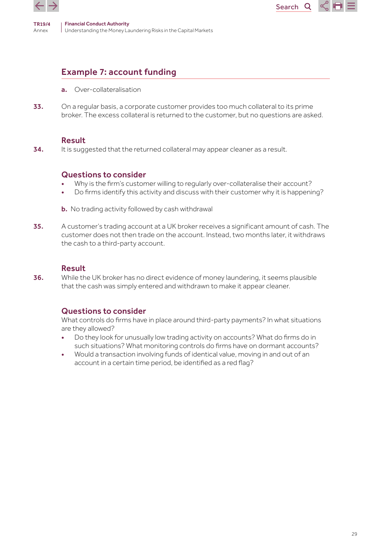![](_page_28_Picture_0.jpeg)

# Example 7: account funding

- a. Over-collateralisation
- 33. On a regular basis, a corporate customer provides too much collateral to its prime broker. The excess collateral is returned to the customer, but no questions are asked.

Search

Q

#### Result

34. It is suggested that the returned collateral may appear cleaner as a result.

### Questions to consider

- Why is the firm's customer willing to regularly over-collateralise their account?
- Do firms identify this activity and discuss with their customer why it is happening?
- **b.** No trading activity followed by cash withdrawal
- 35. A customer's trading account at a UK broker receives a significant amount of cash. The customer does not then trade on the account. Instead, two months later, it withdraws the cash to a third-party account.

## Result

36. While the UK broker has no direct evidence of money laundering, it seems plausible that the cash was simply entered and withdrawn to make it appear cleaner.

# Questions to consider

What controls do firms have in place around third-party payments? In what situations are they allowed?

- Do they look for unusually low trading activity on accounts? What do firms do in such situations? What monitoring controls do firms have on dormant accounts?
- Would a transaction involving funds of identical value, moving in and out of an account in a certain time period, be identified as a red flag?